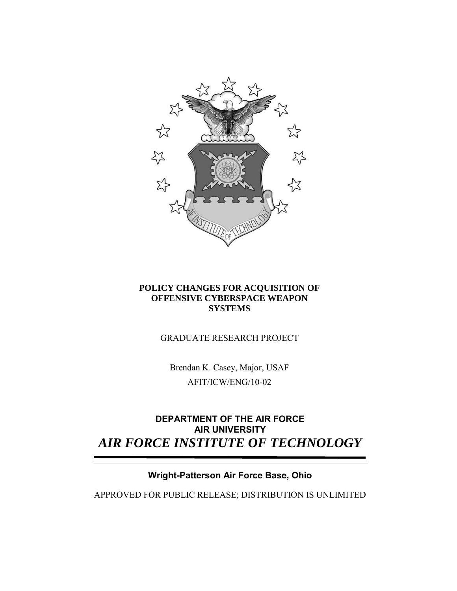

# **POLICY CHANGES FOR ACQUISITION OF OFFENSIVE CYBERSPACE WEAPON SYSTEMS**

# GRADUATE RESEARCH PROJECT

Brendan K. Casey, Major, USAF AFIT/ICW/ENG/10-02

# **DEPARTMENT OF THE AIR FORCE AIR UNIVERSITY** *AIR FORCE INSTITUTE OF TECHNOLOGY*

# **Wright-Patterson Air Force Base, Ohio**

APPROVED FOR PUBLIC RELEASE; DISTRIBUTION IS UNLIMITED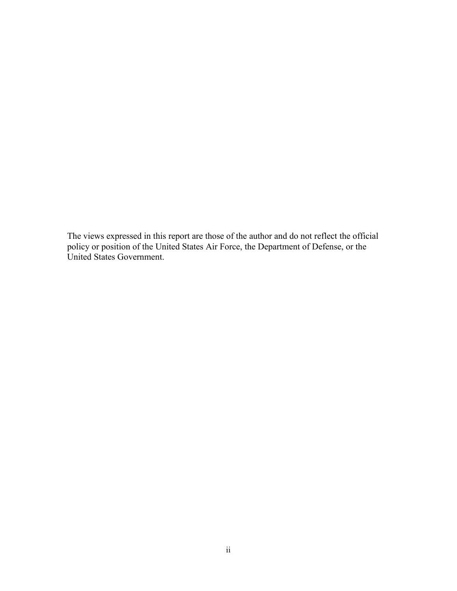The views expressed in this report are those of the author and do not reflect the official policy or position of the United States Air Force, the Department of Defense, or the United States Government.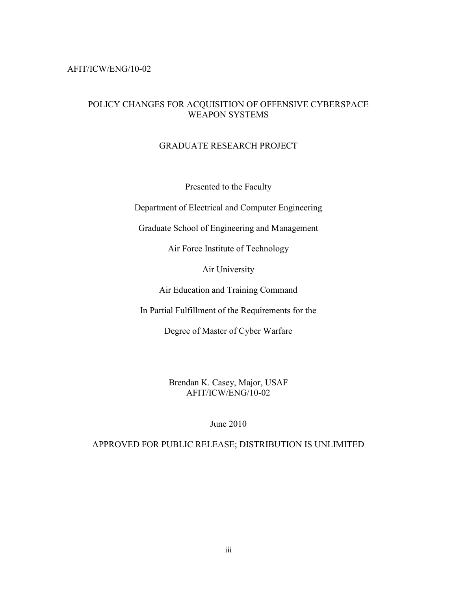### AFIT/ICW/ENG/10-02

## POLICY CHANGES FOR ACQUISITION OF OFFENSIVE CYBERSPACE WEAPON SYSTEMS

## GRADUATE RESEARCH PROJECT

Presented to the Faculty

Department of Electrical and Computer Engineering

Graduate School of Engineering and Management

Air Force Institute of Technology

Air University

Air Education and Training Command

In Partial Fulfillment of the Requirements for the

Degree of Master of Cyber Warfare

Brendan K. Casey, Major, USAF AFIT/ICW/ENG/10-02

June 2010

APPROVED FOR PUBLIC RELEASE; DISTRIBUTION IS UNLIMITED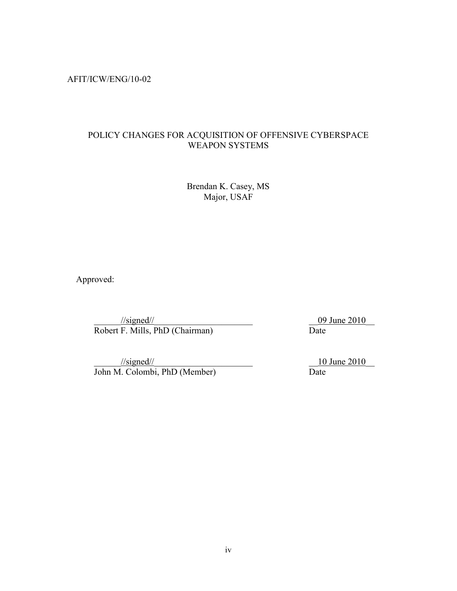AFIT/ICW/ENG/10-02

# POLICY CHANGES FOR ACQUISITION OF OFFENSIVE CYBERSPACE WEAPON SYSTEMS

Brendan K. Casey, MS Major, USAF

Approved:

 $\frac{y/\text{signed}}{F}$ . Mills, PhD (Chairman)  $\frac{09 \text{ June } 2010}{\text{Date}}$ Robert F. Mills, PhD (Chairman)

 $\frac{10 \text{ June } 2010}{\text{ Time } 2010}$ John M. Colombi, PhD (Member) Date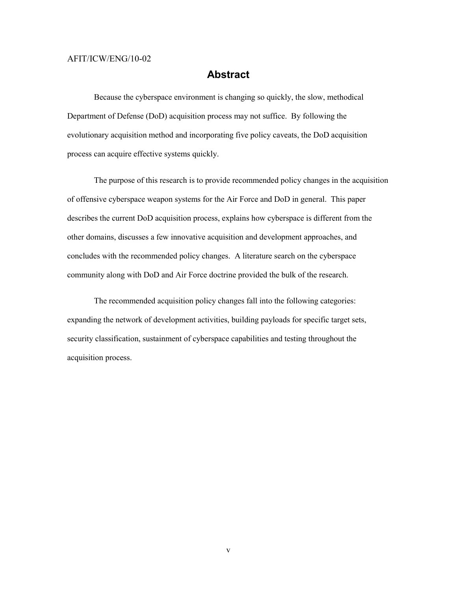#### <span id="page-4-0"></span>AFIT/ICW/ENG/10-02

# **Abstract**

Because the cyberspace environment is changing so quickly, the slow, methodical Department of Defense (DoD) acquisition process may not suffice. By following the evolutionary acquisition method and incorporating five policy caveats, the DoD acquisition process can acquire effective systems quickly.

The purpose of this research is to provide recommended policy changes in the acquisition of offensive cyberspace weapon systems for the Air Force and DoD in general. This paper describes the current DoD acquisition process, explains how cyberspace is different from the other domains, discusses a few innovative acquisition and development approaches, and concludes with the recommended policy changes. A literature search on the cyberspace community along with DoD and Air Force doctrine provided the bulk of the research.

The recommended acquisition policy changes fall into the following categories: expanding the network of development activities, building payloads for specific target sets, security classification, sustainment of cyberspace capabilities and testing throughout the acquisition process.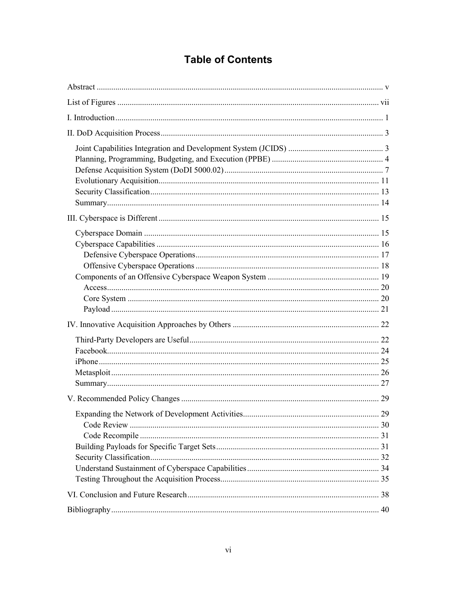# **Table of Contents**

| 29 |
|----|
|    |
|    |
|    |
|    |
|    |
|    |
|    |
|    |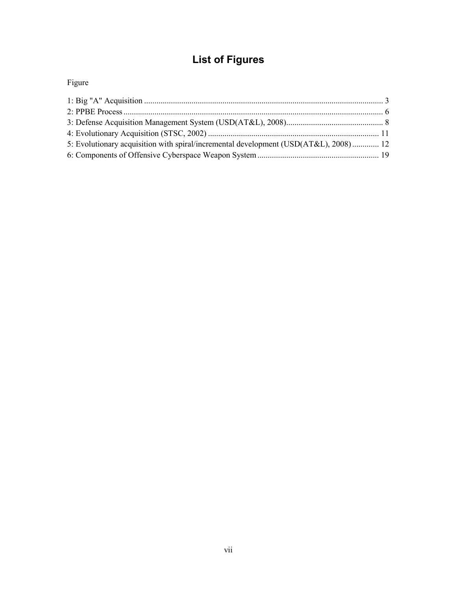# <span id="page-6-0"></span>**List of Figures**

# Figure

| 5: Evolutionary acquisition with spiral/incremental development (USD(AT&L), 2008) 12 |  |
|--------------------------------------------------------------------------------------|--|
|                                                                                      |  |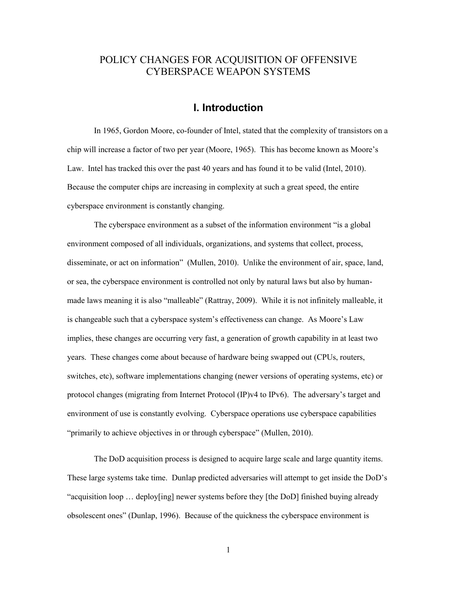# POLICY CHANGES FOR ACQUISITION OF OFFENSIVE CYBERSPACE WEAPON SYSTEMS

# **I. Introduction**

<span id="page-7-0"></span>In 1965, Gordon Moore, co-founder of Intel, stated that the complexity of transistors on a chip will increase a factor of two per year (Moore, 1965). This has become known as Moore's Law. Intel has tracked this over the past 40 years and has found it to be valid (Intel, 2010). Because the computer chips are increasing in complexity at such a great speed, the entire cyberspace environment is constantly changing.

 The cyberspace environment as a subset of the information environment "is a global environment composed of all individuals, organizations, and systems that collect, process, disseminate, or act on information" (Mullen, 2010). Unlike the environment of air, space, land, or sea, the cyberspace environment is controlled not only by natural laws but also by humanmade laws meaning it is also "malleable" (Rattray, 2009). While it is not infinitely malleable, it is changeable such that a cyberspace system's effectiveness can change. As Moore's Law implies, these changes are occurring very fast, a generation of growth capability in at least two years. These changes come about because of hardware being swapped out (CPUs, routers, switches, etc), software implementations changing (newer versions of operating systems, etc) or protocol changes (migrating from Internet Protocol (IP)v4 to IPv6). The adversary's target and environment of use is constantly evolving. Cyberspace operations use cyberspace capabilities "primarily to achieve objectives in or through cyberspace" (Mullen, 2010).

The DoD acquisition process is designed to acquire large scale and large quantity items. These large systems take time. Dunlap predicted adversaries will attempt to get inside the DoD's "acquisition loop … deploy[ing] newer systems before they [the DoD] finished buying already obsolescent ones" (Dunlap, 1996). Because of the quickness the cyberspace environment is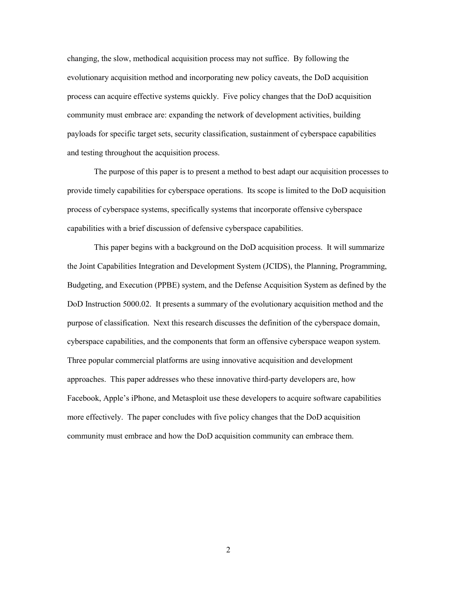changing, the slow, methodical acquisition process may not suffice. By following the evolutionary acquisition method and incorporating new policy caveats, the DoD acquisition process can acquire effective systems quickly. Five policy changes that the DoD acquisition community must embrace are: expanding the network of development activities, building payloads for specific target sets, security classification, sustainment of cyberspace capabilities and testing throughout the acquisition process.

The purpose of this paper is to present a method to best adapt our acquisition processes to provide timely capabilities for cyberspace operations. Its scope is limited to the DoD acquisition process of cyberspace systems, specifically systems that incorporate offensive cyberspace capabilities with a brief discussion of defensive cyberspace capabilities.

This paper begins with a background on the DoD acquisition process. It will summarize the Joint Capabilities Integration and Development System (JCIDS), the Planning, Programming, Budgeting, and Execution (PPBE) system, and the Defense Acquisition System as defined by the DoD Instruction 5000.02. It presents a summary of the evolutionary acquisition method and the purpose of classification. Next this research discusses the definition of the cyberspace domain, cyberspace capabilities, and the components that form an offensive cyberspace weapon system. Three popular commercial platforms are using innovative acquisition and development approaches. This paper addresses who these innovative third-party developers are, how Facebook, Apple's iPhone, and Metasploit use these developers to acquire software capabilities more effectively. The paper concludes with five policy changes that the DoD acquisition community must embrace and how the DoD acquisition community can embrace them.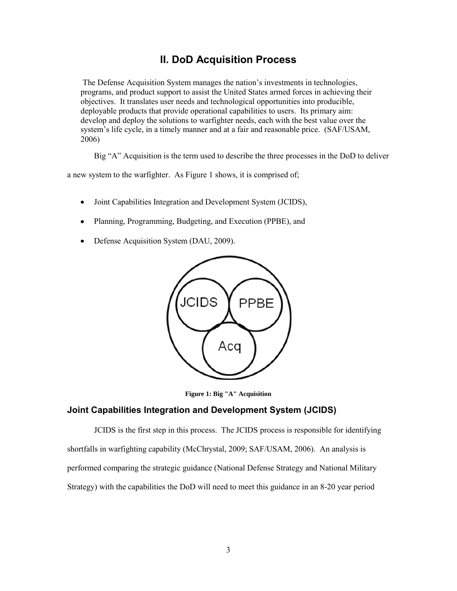# **II. DoD Acquisition Process**

<span id="page-9-0"></span>The Defense Acquisition System manages the nation's investments in technologies, programs, and product support to assist the United States armed forces in achieving their objectives. It translates user needs and technological opportunities into producible, deployable products that provide operational capabilities to users. Its primary aim: develop and deploy the solutions to warfighter needs, each with the best value over the system's life cycle, in a timely manner and at a fair and reasonable price. (SAF/USAM, 2006)

Big "A" Acquisition is the term used to describe the three processes in the DoD to deliver

a new system to the warfighter. As Figure 1 shows, it is comprised of;

- Joint Capabilities Integration and Development System (JCIDS),  $\bullet$
- Planning, Programming, Budgeting, and Execution (PPBE), and  $\bullet$
- $\bullet$ Defense Acquisition System (DAU, 2009).



**Figure 1: Big "A" Acquisition** 

### <span id="page-9-2"></span><span id="page-9-1"></span>**Joint Capabilities Integration and Development System (JCIDS)**

JCIDS is the first step in this process. The JCIDS process is responsible for identifying shortfalls in warfighting capability (McChrystal, 2009; SAF/USAM, 2006). An analysis is performed comparing the strategic guidance (National Defense Strategy and National Military Strategy) with the capabilities the DoD will need to meet this guidance in an 8-20 year period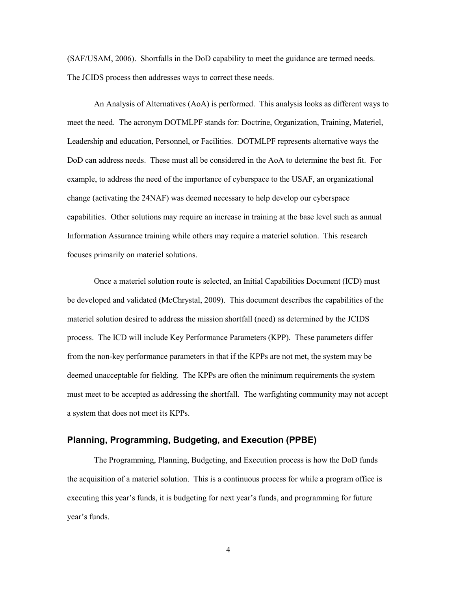(SAF/USAM, 2006). Shortfalls in the DoD capability to meet the guidance are termed needs. The JCIDS process then addresses ways to correct these needs.

An Analysis of Alternatives (AoA) is performed. This analysis looks as different ways to meet the need. The acronym DOTMLPF stands for: Doctrine, Organization, Training, Materiel, Leadership and education, Personnel, or Facilities. DOTMLPF represents alternative ways the DoD can address needs. These must all be considered in the AoA to determine the best fit. For example, to address the need of the importance of cyberspace to the USAF, an organizational change (activating the 24NAF) was deemed necessary to help develop our cyberspace capabilities. Other solutions may require an increase in training at the base level such as annual Information Assurance training while others may require a materiel solution. This research focuses primarily on materiel solutions.

Once a materiel solution route is selected, an Initial Capabilities Document (ICD) must be developed and validated (McChrystal, 2009). This document describes the capabilities of the materiel solution desired to address the mission shortfall (need) as determined by the JCIDS process. The ICD will include Key Performance Parameters (KPP). These parameters differ from the non-key performance parameters in that if the KPPs are not met, the system may be deemed unacceptable for fielding. The KPPs are often the minimum requirements the system must meet to be accepted as addressing the shortfall. The warfighting community may not accept a system that does not meet its KPPs.

#### <span id="page-10-0"></span>**Planning, Programming, Budgeting, and Execution (PPBE)**

The Programming, Planning, Budgeting, and Execution process is how the DoD funds the acquisition of a materiel solution. This is a continuous process for while a program office is executing this year's funds, it is budgeting for next year's funds, and programming for future year's funds.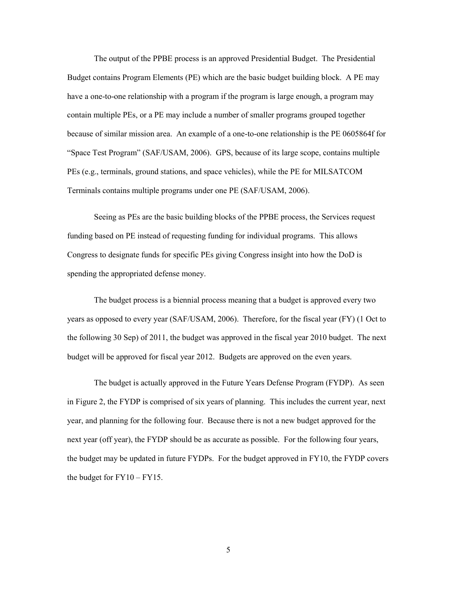The output of the PPBE process is an approved Presidential Budget. The Presidential Budget contains Program Elements (PE) which are the basic budget building block. A PE may have a one-to-one relationship with a program if the program is large enough, a program may contain multiple PEs, or a PE may include a number of smaller programs grouped together because of similar mission area. An example of a one-to-one relationship is the PE 0605864f for "Space Test Program" (SAF/USAM, 2006). GPS, because of its large scope, contains multiple PEs (e.g., terminals, ground stations, and space vehicles), while the PE for MILSATCOM Terminals contains multiple programs under one PE (SAF/USAM, 2006).

Seeing as PEs are the basic building blocks of the PPBE process, the Services request funding based on PE instead of requesting funding for individual programs. This allows Congress to designate funds for specific PEs giving Congress insight into how the DoD is spending the appropriated defense money.

The budget process is a biennial process meaning that a budget is approved every two years as opposed to every year (SAF/USAM, 2006). Therefore, for the fiscal year (FY) (1 Oct to the following 30 Sep) of 2011, the budget was approved in the fiscal year 2010 budget. The next budget will be approved for fiscal year 2012. Budgets are approved on the even years.

The budget is actually approved in the Future Years Defense Program (FYDP). As seen in Figure 2, the FYDP is comprised of six years of planning. This includes the current year, next year, and planning for the following four. Because there is not a new budget approved for the next year (off year), the FYDP should be as accurate as possible. For the following four years, the budget may be updated in future FYDPs. For the budget approved in FY10, the FYDP covers the budget for FY10 – FY15.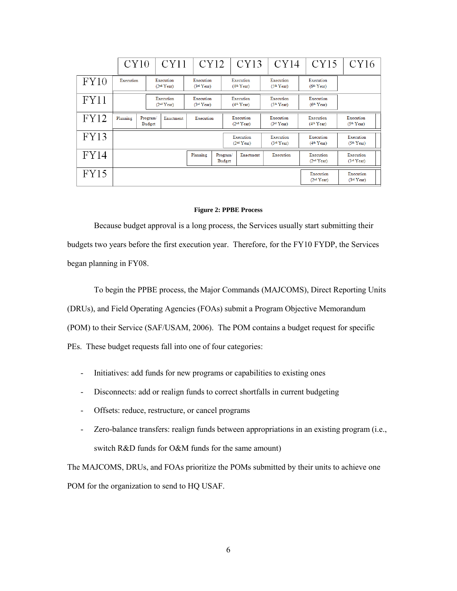|             | CY10                                                                       |                                     | CY11                                | CY12                                |                                     | CY13                                |                                     | CY14                                |                                     | CY15                                | CY16                                |
|-------------|----------------------------------------------------------------------------|-------------------------------------|-------------------------------------|-------------------------------------|-------------------------------------|-------------------------------------|-------------------------------------|-------------------------------------|-------------------------------------|-------------------------------------|-------------------------------------|
| FY10        | Execution                                                                  | Execution<br>(2 <sup>nd</sup> Year) |                                     | Execution<br>(3 <sup>rd</sup> Year) |                                     | Execution<br>(4 <sup>th</sup> Year) |                                     | Execution<br>(5 <sup>th</sup> Year) |                                     | Execution<br>(6 <sup>th</sup> Year) |                                     |
| FY11        |                                                                            |                                     | Execution<br>(2 <sup>nd</sup> Year) |                                     | Execution<br>(3 <sup>rd</sup> Year) |                                     | Execution<br>(4 <sup>th</sup> Year) |                                     | Execution<br>(5 <sup>th</sup> Year) | Execution<br>(6 <sup>th</sup> Year) |                                     |
| FY12        | Planning                                                                   | Program/<br><b>Budget</b>           | Enactment                           | Execution                           |                                     | Execution<br>(2 <sup>nd</sup> Year) |                                     | Execution<br>(3 <sup>rd</sup> Year) |                                     | Execution<br>(4 <sup>th</sup> Year) | Execution<br>(5 <sup>th</sup> Year) |
| FY13        | Execution<br>Execution<br>(2 <sup>nd</sup> Year)<br>(3 <sup>rd</sup> Year) |                                     |                                     |                                     |                                     | Execution<br>(4 <sup>th</sup> Year) | Execution<br>(5 <sup>th</sup> Year) |                                     |                                     |                                     |                                     |
| <b>FY14</b> |                                                                            |                                     |                                     | Planning                            | Program/<br><b>Budget</b>           | Enactment                           |                                     |                                     | Execution                           | Execution<br>(2 <sup>nd</sup> Year) | Execution<br>(3 <sup>rd</sup> Year) |
| FY15        |                                                                            |                                     |                                     |                                     |                                     |                                     |                                     |                                     |                                     | Execution<br>(2 <sup>nd</sup> Year) | Execution<br>(3 <sup>rd</sup> Year) |

#### **Figure 2: PPBE Process**

<span id="page-12-0"></span>Because budget approval is a long process, the Services usually start submitting their budgets two years before the first execution year. Therefore, for the FY10 FYDP, the Services began planning in FY08.

To begin the PPBE process, the Major Commands (MAJCOMS), Direct Reporting Units (DRUs), and Field Operating Agencies (FOAs) submit a Program Objective Memorandum (POM) to their Service (SAF/USAM, 2006). The POM contains a budget request for specific PEs. These budget requests fall into one of four categories:

- Initiatives: add funds for new programs or capabilities to existing ones
- Disconnects: add or realign funds to correct shortfalls in current budgeting
- Offsets: reduce, restructure, or cancel programs
- Zero-balance transfers: realign funds between appropriations in an existing program (i.e., switch R&D funds for O&M funds for the same amount)

The MAJCOMS, DRUs, and FOAs prioritize the POMs submitted by their units to achieve one POM for the organization to send to HQ USAF.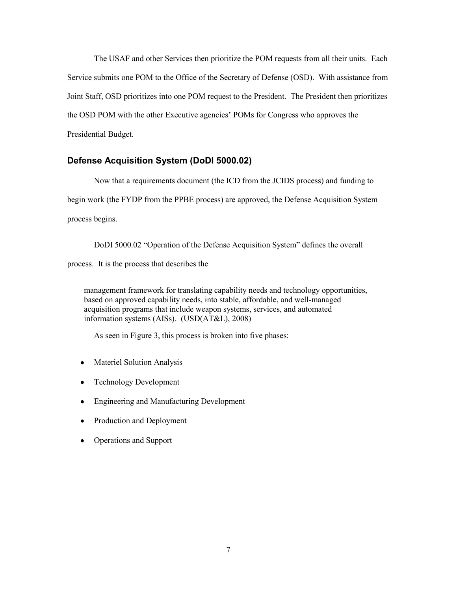The USAF and other Services then prioritize the POM requests from all their units. Each Service submits one POM to the Office of the Secretary of Defense (OSD). With assistance from Joint Staff, OSD prioritizes into one POM request to the President. The President then prioritizes the OSD POM with the other Executive agencies' POMs for Congress who approves the Presidential Budget.

## <span id="page-13-0"></span>**Defense Acquisition System (DoDI 5000.02)**

 Now that a requirements document (the ICD from the JCIDS process) and funding to begin work (the FYDP from the PPBE process) are approved, the Defense Acquisition System process begins.

 DoDI 5000.02 "Operation of the Defense Acquisition System" defines the overall process. It is the process that describes the

management framework for translating capability needs and technology opportunities, based on approved capability needs, into stable, affordable, and well-managed acquisition programs that include weapon systems, services, and automated information systems (AISs). (USD(AT&L), 2008)

As seen in Figure 3, this process is broken into five phases:

- Materiel Solution Analysis  $\bullet$
- Technology Development
- Engineering and Manufacturing Development
- Production and Deployment
- Operations and Support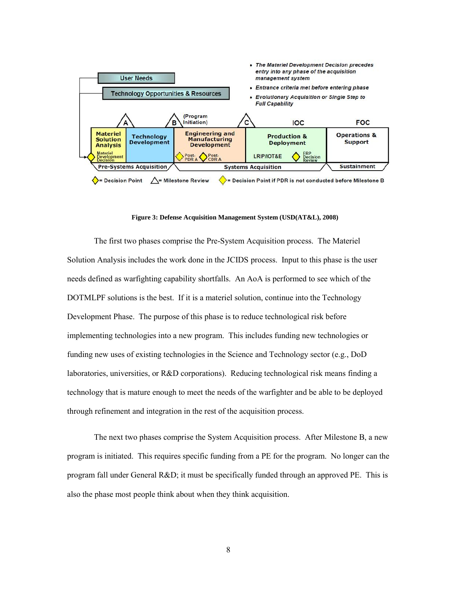

**Figure 3: Defense Acquisition Management System (USD(AT&L), 2008)** 

<span id="page-14-0"></span>The first two phases comprise the Pre-System Acquisition process. The Materiel Solution Analysis includes the work done in the JCIDS process. Input to this phase is the user needs defined as warfighting capability shortfalls. An AoA is performed to see which of the DOTMLPF solutions is the best. If it is a materiel solution, continue into the Technology Development Phase. The purpose of this phase is to reduce technological risk before implementing technologies into a new program. This includes funding new technologies or funding new uses of existing technologies in the Science and Technology sector (e.g., DoD laboratories, universities, or R&D corporations). Reducing technological risk means finding a technology that is mature enough to meet the needs of the warfighter and be able to be deployed through refinement and integration in the rest of the acquisition process.

The next two phases comprise the System Acquisition process. After Milestone B, a new program is initiated. This requires specific funding from a PE for the program. No longer can the program fall under General R&D; it must be specifically funded through an approved PE. This is also the phase most people think about when they think acquisition.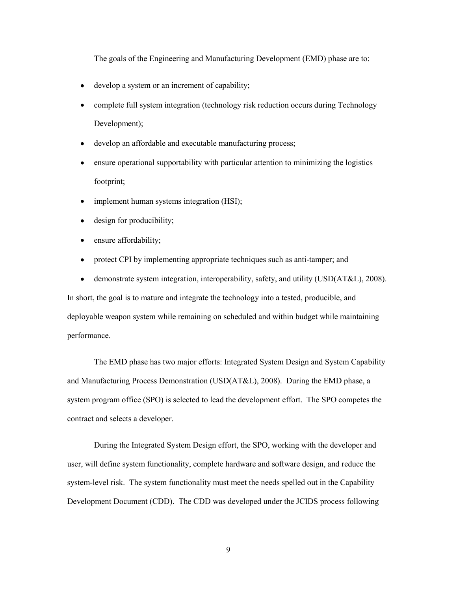The goals of the Engineering and Manufacturing Development (EMD) phase are to:

- develop a system or an increment of capability;  $\bullet$
- complete full system integration (technology risk reduction occurs during Technology  $\bullet$ Development);
- develop an affordable and executable manufacturing process;
- ensure operational supportability with particular attention to minimizing the logistics  $\bullet$ footprint;
- implement human systems integration (HSI);  $\bullet$
- design for producibility;  $\bullet$
- ensure affordability;  $\bullet$
- protect CPI by implementing appropriate techniques such as anti-tamper; and  $\bullet$

demonstrate system integration, interoperability, safety, and utility (USD(AT&L), 2008).  $\bullet$ In short, the goal is to mature and integrate the technology into a tested, producible, and deployable weapon system while remaining on scheduled and within budget while maintaining performance.

The EMD phase has two major efforts: Integrated System Design and System Capability and Manufacturing Process Demonstration (USD(AT&L), 2008). During the EMD phase, a system program office (SPO) is selected to lead the development effort. The SPO competes the contract and selects a developer.

During the Integrated System Design effort, the SPO, working with the developer and user, will define system functionality, complete hardware and software design, and reduce the system-level risk. The system functionality must meet the needs spelled out in the Capability Development Document (CDD). The CDD was developed under the JCIDS process following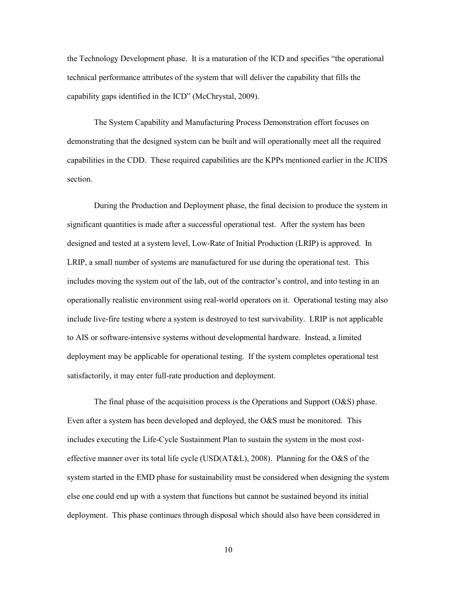the Technology Development phase. It is a maturation of the ICD and specifies "the operational technical performance attributes of the system that will deliver the capability that fills the capability gaps identified in the ICD" (McChrystal, 2009).

The System Capability and Manufacturing Process Demonstration effort focuses on demonstrating that the designed system can be built and will operationally meet all the required capabilities in the CDD. These required capabilities are the KPPs mentioned earlier in the JCIDS section.

During the Production and Deployment phase, the final decision to produce the system in significant quantities is made after a successful operational test. After the system has been designed and tested at a system level, Low-Rate of Initial Production (LRIP) is approved. In LRIP, a small number of systems are manufactured for use during the operational test. This includes moving the system out of the lab, out of the contractor's control, and into testing in an operationally realistic environment using real-world operators on it. Operational testing may also include live-fire testing where a system is destroyed to test survivability. LRIP is not applicable to AIS or software-intensive systems without developmental hardware. Instead, a limited deployment may be applicable for operational testing. If the system completes operational test satisfactorily, it may enter full-rate production and deployment.

The final phase of the acquisition process is the Operations and Support (O&S) phase. Even after a system has been developed and deployed, the O&S must be monitored. This includes executing the Life-Cycle Sustainment Plan to sustain the system in the most costeffective manner over its total life cycle (USD(AT&L), 2008). Planning for the O&S of the system started in the EMD phase for sustainability must be considered when designing the system else one could end up with a system that functions but cannot be sustained beyond its initial deployment. This phase continues through disposal which should also have been considered in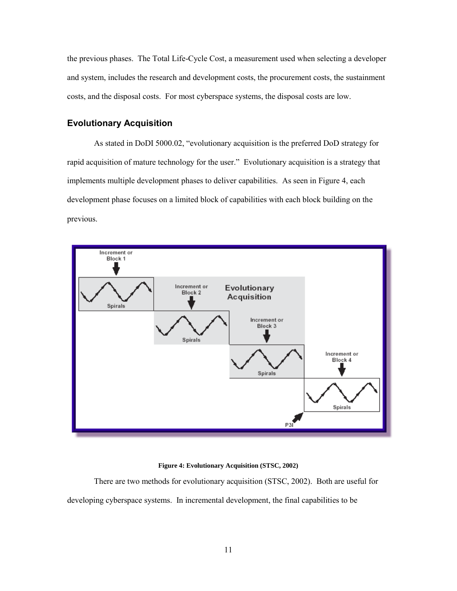the previous phases. The Total Life-Cycle Cost, a measurement used when selecting a developer and system, includes the research and development costs, the procurement costs, the sustainment costs, and the disposal costs. For most cyberspace systems, the disposal costs are low.

## <span id="page-17-0"></span>**Evolutionary Acquisition**

As stated in DoDI 5000.02, "evolutionary acquisition is the preferred DoD strategy for rapid acquisition of mature technology for the user." Evolutionary acquisition is a strategy that implements multiple development phases to deliver capabilities. As seen in Figure 4, each development phase focuses on a limited block of capabilities with each block building on the previous.



#### **Figure 4: Evolutionary Acquisition (STSC, 2002)**

<span id="page-17-1"></span> There are two methods for evolutionary acquisition (STSC, 2002). Both are useful for developing cyberspace systems. In incremental development, the final capabilities to be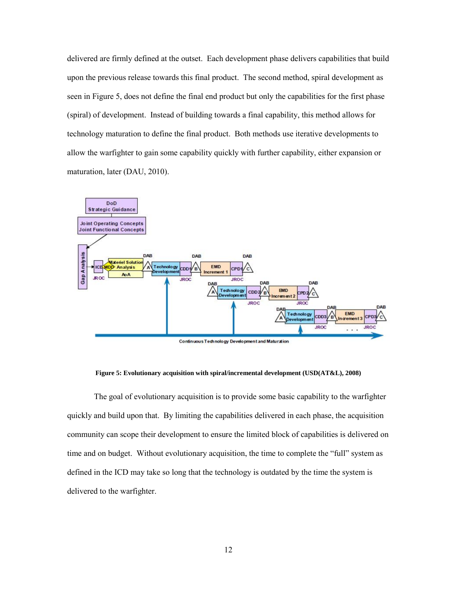delivered are firmly defined at the outset. Each development phase delivers capabilities that build upon the previous release towards this final product. The second method, spiral development as seen in Figure 5, does not define the final end product but only the capabilities for the first phase (spiral) of development. Instead of building towards a final capability, this method allows for technology maturation to define the final product. Both methods use iterative developments to allow the warfighter to gain some capability quickly with further capability, either expansion or maturation, later (DAU, 2010).



**Figure 5: Evolutionary acquisition with spiral/incremental development (USD(AT&L), 2008)** 

<span id="page-18-0"></span> The goal of evolutionary acquisition is to provide some basic capability to the warfighter quickly and build upon that. By limiting the capabilities delivered in each phase, the acquisition community can scope their development to ensure the limited block of capabilities is delivered on time and on budget. Without evolutionary acquisition, the time to complete the "full" system as defined in the ICD may take so long that the technology is outdated by the time the system is delivered to the warfighter.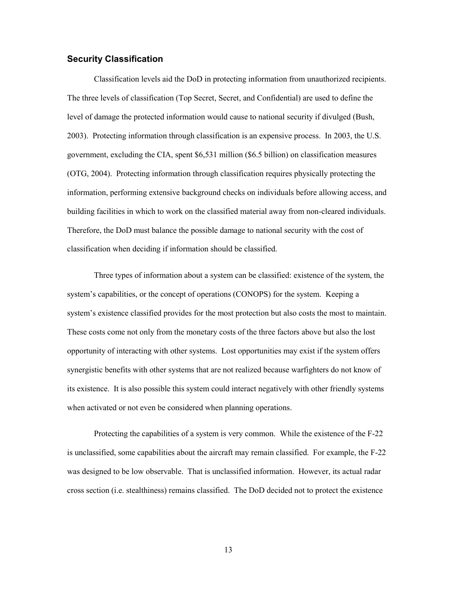### <span id="page-19-0"></span>**Security Classification**

Classification levels aid the DoD in protecting information from unauthorized recipients. The three levels of classification (Top Secret, Secret, and Confidential) are used to define the level of damage the protected information would cause to national security if divulged (Bush, 2003). Protecting information through classification is an expensive process. In 2003, the U.S. government, excluding the CIA, spent \$6,531 million (\$6.5 billion) on classification measures (OTG, 2004). Protecting information through classification requires physically protecting the information, performing extensive background checks on individuals before allowing access, and building facilities in which to work on the classified material away from non-cleared individuals. Therefore, the DoD must balance the possible damage to national security with the cost of classification when deciding if information should be classified.

 Three types of information about a system can be classified: existence of the system, the system's capabilities, or the concept of operations (CONOPS) for the system. Keeping a system's existence classified provides for the most protection but also costs the most to maintain. These costs come not only from the monetary costs of the three factors above but also the lost opportunity of interacting with other systems. Lost opportunities may exist if the system offers synergistic benefits with other systems that are not realized because warfighters do not know of its existence. It is also possible this system could interact negatively with other friendly systems when activated or not even be considered when planning operations.

Protecting the capabilities of a system is very common. While the existence of the F-22 is unclassified, some capabilities about the aircraft may remain classified. For example, the F-22 was designed to be low observable. That is unclassified information. However, its actual radar cross section (i.e. stealthiness) remains classified. The DoD decided not to protect the existence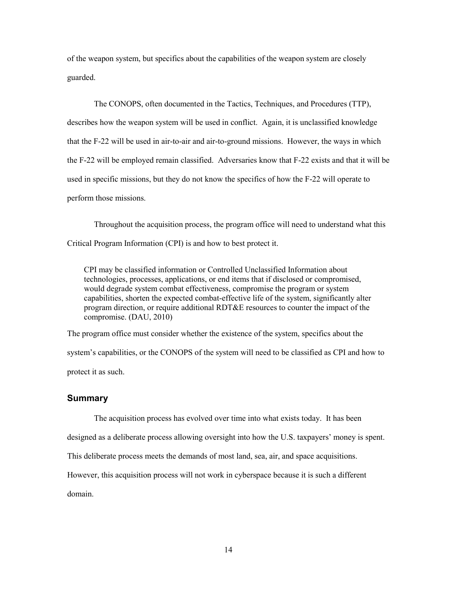of the weapon system, but specifics about the capabilities of the weapon system are closely guarded.

 The CONOPS, often documented in the Tactics, Techniques, and Procedures (TTP), describes how the weapon system will be used in conflict. Again, it is unclassified knowledge that the F-22 will be used in air-to-air and air-to-ground missions. However, the ways in which the F-22 will be employed remain classified. Adversaries know that F-22 exists and that it will be used in specific missions, but they do not know the specifics of how the F-22 will operate to perform those missions.

 Throughout the acquisition process, the program office will need to understand what this Critical Program Information (CPI) is and how to best protect it.

CPI may be classified information or Controlled Unclassified Information about technologies, processes, applications, or end items that if disclosed or compromised, would degrade system combat effectiveness, compromise the program or system capabilities, shorten the expected combat-effective life of the system, significantly alter program direction, or require additional RDT&E resources to counter the impact of the compromise. (DAU, 2010)

The program office must consider whether the existence of the system, specifics about the system's capabilities, or the CONOPS of the system will need to be classified as CPI and how to protect it as such.

### <span id="page-20-0"></span>**Summary**

The acquisition process has evolved over time into what exists today. It has been

designed as a deliberate process allowing oversight into how the U.S. taxpayers' money is spent.

This deliberate process meets the demands of most land, sea, air, and space acquisitions.

However, this acquisition process will not work in cyberspace because it is such a different

domain.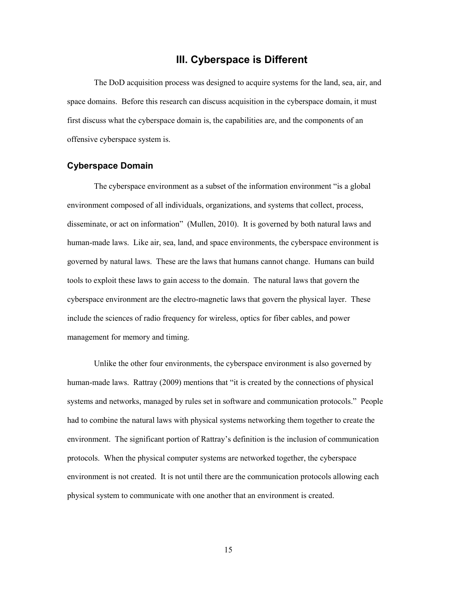# **III. Cyberspace is Different**

<span id="page-21-0"></span> The DoD acquisition process was designed to acquire systems for the land, sea, air, and space domains. Before this research can discuss acquisition in the cyberspace domain, it must first discuss what the cyberspace domain is, the capabilities are, and the components of an offensive cyberspace system is.

#### <span id="page-21-1"></span>**Cyberspace Domain**

The cyberspace environment as a subset of the information environment "is a global environment composed of all individuals, organizations, and systems that collect, process, disseminate, or act on information" (Mullen, 2010). It is governed by both natural laws and human-made laws. Like air, sea, land, and space environments, the cyberspace environment is governed by natural laws. These are the laws that humans cannot change. Humans can build tools to exploit these laws to gain access to the domain. The natural laws that govern the cyberspace environment are the electro-magnetic laws that govern the physical layer. These include the sciences of radio frequency for wireless, optics for fiber cables, and power management for memory and timing.

Unlike the other four environments, the cyberspace environment is also governed by human-made laws. Rattray (2009) mentions that "it is created by the connections of physical systems and networks, managed by rules set in software and communication protocols." People had to combine the natural laws with physical systems networking them together to create the environment. The significant portion of Rattray's definition is the inclusion of communication protocols. When the physical computer systems are networked together, the cyberspace environment is not created. It is not until there are the communication protocols allowing each physical system to communicate with one another that an environment is created.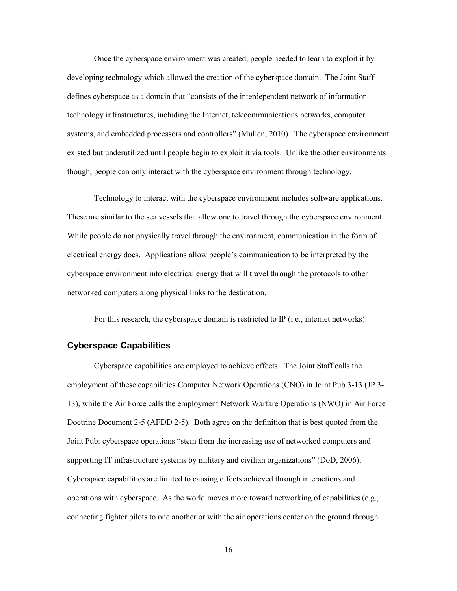Once the cyberspace environment was created, people needed to learn to exploit it by developing technology which allowed the creation of the cyberspace domain. The Joint Staff defines cyberspace as a domain that "consists of the interdependent network of information technology infrastructures, including the Internet, telecommunications networks, computer systems, and embedded processors and controllers" (Mullen, 2010). The cyberspace environment existed but underutilized until people begin to exploit it via tools. Unlike the other environments though, people can only interact with the cyberspace environment through technology.

Technology to interact with the cyberspace environment includes software applications. These are similar to the sea vessels that allow one to travel through the cyberspace environment. While people do not physically travel through the environment, communication in the form of electrical energy does. Applications allow people's communication to be interpreted by the cyberspace environment into electrical energy that will travel through the protocols to other networked computers along physical links to the destination.

For this research, the cyberspace domain is restricted to IP (i.e., internet networks).

### <span id="page-22-0"></span>**Cyberspace Capabilities**

Cyberspace capabilities are employed to achieve effects. The Joint Staff calls the employment of these capabilities Computer Network Operations (CNO) in Joint Pub 3-13 (JP 3- 13), while the Air Force calls the employment Network Warfare Operations (NWO) in Air Force Doctrine Document 2-5 (AFDD 2-5). Both agree on the definition that is best quoted from the Joint Pub: cyberspace operations "stem from the increasing use of networked computers and supporting IT infrastructure systems by military and civilian organizations" (DoD, 2006). Cyberspace capabilities are limited to causing effects achieved through interactions and operations with cyberspace. As the world moves more toward networking of capabilities (e.g., connecting fighter pilots to one another or with the air operations center on the ground through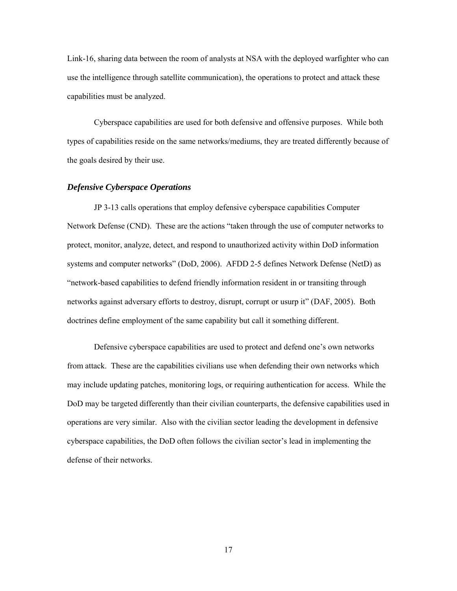Link-16, sharing data between the room of analysts at NSA with the deployed warfighter who can use the intelligence through satellite communication), the operations to protect and attack these capabilities must be analyzed.

 Cyberspace capabilities are used for both defensive and offensive purposes. While both types of capabilities reside on the same networks/mediums, they are treated differently because of the goals desired by their use.

#### <span id="page-23-0"></span>*Defensive Cyberspace Operations*

 JP 3-13 calls operations that employ defensive cyberspace capabilities Computer Network Defense (CND). These are the actions "taken through the use of computer networks to protect, monitor, analyze, detect, and respond to unauthorized activity within DoD information systems and computer networks" (DoD, 2006). AFDD 2-5 defines Network Defense (NetD) as "network-based capabilities to defend friendly information resident in or transiting through networks against adversary efforts to destroy, disrupt, corrupt or usurp it" (DAF, 2005). Both doctrines define employment of the same capability but call it something different.

 Defensive cyberspace capabilities are used to protect and defend one's own networks from attack. These are the capabilities civilians use when defending their own networks which may include updating patches, monitoring logs, or requiring authentication for access. While the DoD may be targeted differently than their civilian counterparts, the defensive capabilities used in operations are very similar. Also with the civilian sector leading the development in defensive cyberspace capabilities, the DoD often follows the civilian sector's lead in implementing the defense of their networks.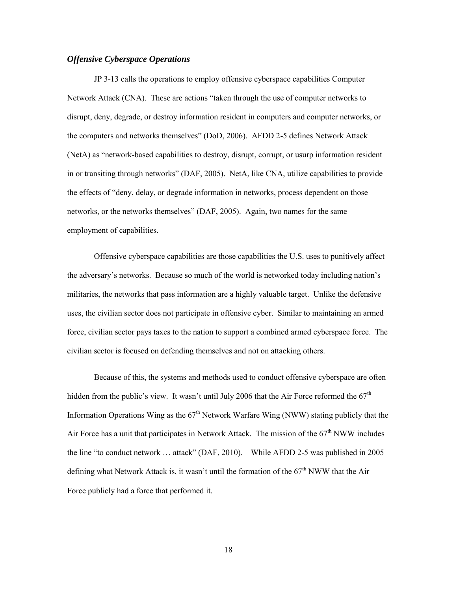### <span id="page-24-0"></span>*Offensive Cyberspace Operations*

JP 3-13 calls the operations to employ offensive cyberspace capabilities Computer Network Attack (CNA). These are actions "taken through the use of computer networks to disrupt, deny, degrade, or destroy information resident in computers and computer networks, or the computers and networks themselves" (DoD, 2006). AFDD 2-5 defines Network Attack (NetA) as "network-based capabilities to destroy, disrupt, corrupt, or usurp information resident in or transiting through networks" (DAF, 2005). NetA, like CNA, utilize capabilities to provide the effects of "deny, delay, or degrade information in networks, process dependent on those networks, or the networks themselves" (DAF, 2005). Again, two names for the same employment of capabilities.

 Offensive cyberspace capabilities are those capabilities the U.S. uses to punitively affect the adversary's networks. Because so much of the world is networked today including nation's militaries, the networks that pass information are a highly valuable target. Unlike the defensive uses, the civilian sector does not participate in offensive cyber. Similar to maintaining an armed force, civilian sector pays taxes to the nation to support a combined armed cyberspace force. The civilian sector is focused on defending themselves and not on attacking others.

 Because of this, the systems and methods used to conduct offensive cyberspace are often hidden from the public's view. It wasn't until July 2006 that the Air Force reformed the  $67<sup>th</sup>$ Information Operations Wing as the  $67<sup>th</sup>$  Network Warfare Wing (NWW) stating publicly that the Air Force has a unit that participates in Network Attack. The mission of the  $67<sup>th</sup> NWW$  includes the line "to conduct network … attack" (DAF, 2010). While AFDD 2-5 was published in 2005 defining what Network Attack is, it wasn't until the formation of the  $67<sup>th</sup>$  NWW that the Air Force publicly had a force that performed it.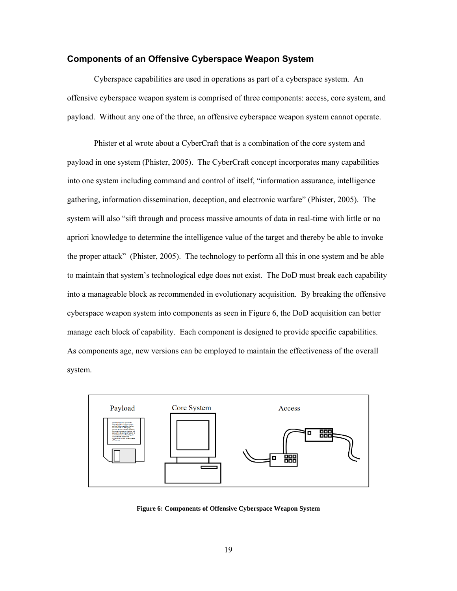#### <span id="page-25-0"></span>**Components of an Offensive Cyberspace Weapon System**

 Cyberspace capabilities are used in operations as part of a cyberspace system. An offensive cyberspace weapon system is comprised of three components: access, core system, and payload. Without any one of the three, an offensive cyberspace weapon system cannot operate.

 Phister et al wrote about a CyberCraft that is a combination of the core system and payload in one system (Phister, 2005). The CyberCraft concept incorporates many capabilities into one system including command and control of itself, "information assurance, intelligence gathering, information dissemination, deception, and electronic warfare" (Phister, 2005). The system will also "sift through and process massive amounts of data in real-time with little or no apriori knowledge to determine the intelligence value of the target and thereby be able to invoke the proper attack" (Phister, 2005). The technology to perform all this in one system and be able to maintain that system's technological edge does not exist. The DoD must break each capability into a manageable block as recommended in evolutionary acquisition. By breaking the offensive cyberspace weapon system into components as seen in Figure 6, the DoD acquisition can better manage each block of capability. Each component is designed to provide specific capabilities. As components age, new versions can be employed to maintain the effectiveness of the overall system.



<span id="page-25-1"></span>**Figure 6: Components of Offensive Cyberspace Weapon System**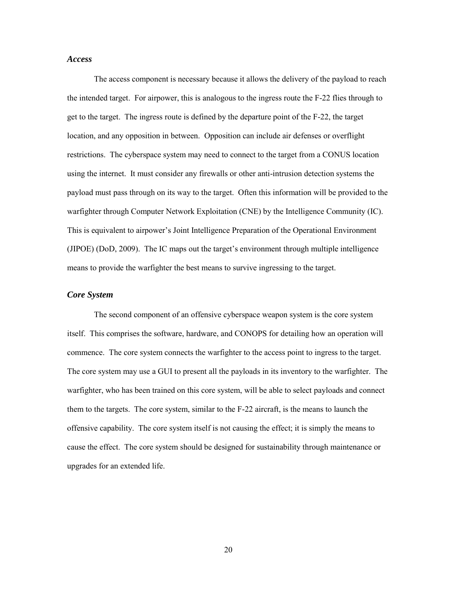### <span id="page-26-0"></span>*Access*

The access component is necessary because it allows the delivery of the payload to reach the intended target. For airpower, this is analogous to the ingress route the F-22 flies through to get to the target. The ingress route is defined by the departure point of the F-22, the target location, and any opposition in between. Opposition can include air defenses or overflight restrictions. The cyberspace system may need to connect to the target from a CONUS location using the internet. It must consider any firewalls or other anti-intrusion detection systems the payload must pass through on its way to the target. Often this information will be provided to the warfighter through Computer Network Exploitation (CNE) by the Intelligence Community (IC). This is equivalent to airpower's Joint Intelligence Preparation of the Operational Environment (JIPOE) (DoD, 2009). The IC maps out the target's environment through multiple intelligence means to provide the warfighter the best means to survive ingressing to the target.

### <span id="page-26-1"></span>*Core System*

 The second component of an offensive cyberspace weapon system is the core system itself. This comprises the software, hardware, and CONOPS for detailing how an operation will commence. The core system connects the warfighter to the access point to ingress to the target. The core system may use a GUI to present all the payloads in its inventory to the warfighter. The warfighter, who has been trained on this core system, will be able to select payloads and connect them to the targets. The core system, similar to the F-22 aircraft, is the means to launch the offensive capability. The core system itself is not causing the effect; it is simply the means to cause the effect. The core system should be designed for sustainability through maintenance or upgrades for an extended life.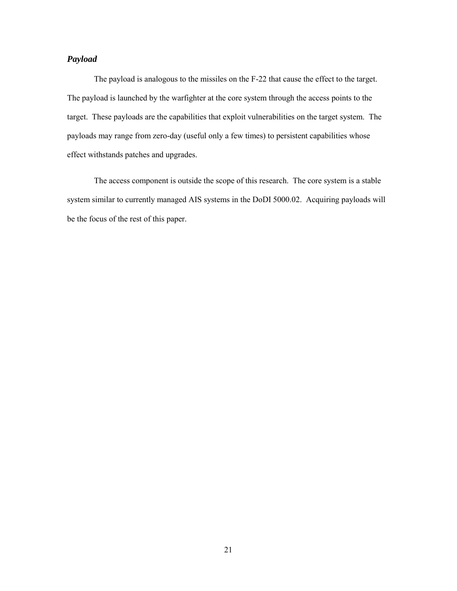### <span id="page-27-0"></span>*Payload*

The payload is analogous to the missiles on the F-22 that cause the effect to the target. The payload is launched by the warfighter at the core system through the access points to the target. These payloads are the capabilities that exploit vulnerabilities on the target system. The payloads may range from zero-day (useful only a few times) to persistent capabilities whose effect withstands patches and upgrades.

 The access component is outside the scope of this research. The core system is a stable system similar to currently managed AIS systems in the DoDI 5000.02. Acquiring payloads will be the focus of the rest of this paper.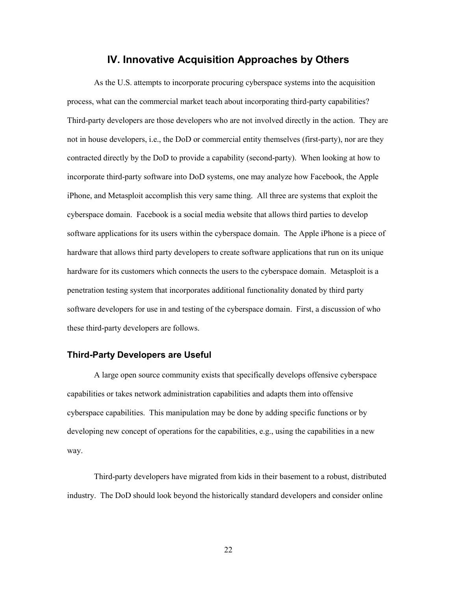# **IV. Innovative Acquisition Approaches by Others**

<span id="page-28-0"></span>As the U.S. attempts to incorporate procuring cyberspace systems into the acquisition process, what can the commercial market teach about incorporating third-party capabilities? Third-party developers are those developers who are not involved directly in the action. They are not in house developers, i.e., the DoD or commercial entity themselves (first-party), nor are they contracted directly by the DoD to provide a capability (second-party). When looking at how to incorporate third-party software into DoD systems, one may analyze how Facebook, the Apple iPhone, and Metasploit accomplish this very same thing. All three are systems that exploit the cyberspace domain. Facebook is a social media website that allows third parties to develop software applications for its users within the cyberspace domain. The Apple iPhone is a piece of hardware that allows third party developers to create software applications that run on its unique hardware for its customers which connects the users to the cyberspace domain. Metasploit is a penetration testing system that incorporates additional functionality donated by third party software developers for use in and testing of the cyberspace domain. First, a discussion of who these third-party developers are follows.

### <span id="page-28-1"></span>**Third-Party Developers are Useful**

A large open source community exists that specifically develops offensive cyberspace capabilities or takes network administration capabilities and adapts them into offensive cyberspace capabilities. This manipulation may be done by adding specific functions or by developing new concept of operations for the capabilities, e.g., using the capabilities in a new way.

Third-party developers have migrated from kids in their basement to a robust, distributed industry. The DoD should look beyond the historically standard developers and consider online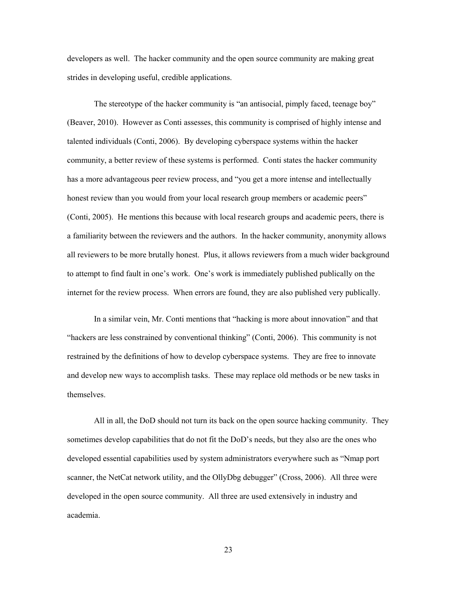developers as well. The hacker community and the open source community are making great strides in developing useful, credible applications.

 The stereotype of the hacker community is "an antisocial, pimply faced, teenage boy" (Beaver, 2010). However as Conti assesses, this community is comprised of highly intense and talented individuals (Conti, 2006). By developing cyberspace systems within the hacker community, a better review of these systems is performed. Conti states the hacker community has a more advantageous peer review process, and "you get a more intense and intellectually honest review than you would from your local research group members or academic peers" (Conti, 2005). He mentions this because with local research groups and academic peers, there is a familiarity between the reviewers and the authors. In the hacker community, anonymity allows all reviewers to be more brutally honest. Plus, it allows reviewers from a much wider background to attempt to find fault in one's work. One's work is immediately published publically on the internet for the review process. When errors are found, they are also published very publically.

 In a similar vein, Mr. Conti mentions that "hacking is more about innovation" and that "hackers are less constrained by conventional thinking" (Conti, 2006). This community is not restrained by the definitions of how to develop cyberspace systems. They are free to innovate and develop new ways to accomplish tasks. These may replace old methods or be new tasks in themselves.

All in all, the DoD should not turn its back on the open source hacking community. They sometimes develop capabilities that do not fit the DoD's needs, but they also are the ones who developed essential capabilities used by system administrators everywhere such as "Nmap port scanner, the NetCat network utility, and the OllyDbg debugger" (Cross, 2006). All three were developed in the open source community. All three are used extensively in industry and academia.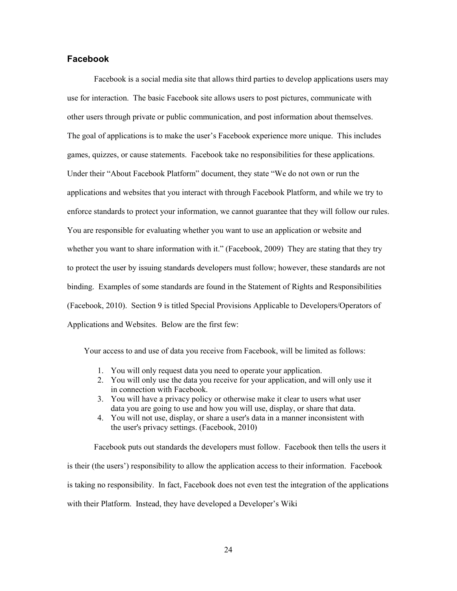### <span id="page-30-0"></span>**Facebook**

Facebook is a social media site that allows third parties to develop applications users may use for interaction. The basic Facebook site allows users to post pictures, communicate with other users through private or public communication, and post information about themselves. The goal of applications is to make the user's Facebook experience more unique. This includes games, quizzes, or cause statements. Facebook take no responsibilities for these applications. Under their "About Facebook Platform" document, they state "We do not own or run the applications and websites that you interact with through Facebook Platform, and while we try to enforce standards to protect your information, we cannot guarantee that they will follow our rules. You are responsible for evaluating whether you want to use an application or website and whether you want to share information with it." (Facebook, 2009) They are stating that they try to protect the user by issuing standards developers must follow; however, these standards are not binding. Examples of some standards are found in the Statement of Rights and Responsibilities (Facebook, 2010). Section 9 is titled Special Provisions Applicable to Developers/Operators of Applications and Websites. Below are the first few:

Your access to and use of data you receive from Facebook, will be limited as follows:

- 1. You will only request data you need to operate your application.
- 2. You will only use the data you receive for your application, and will only use it in connection with Facebook.
- 3. You will have a privacy policy or otherwise make it clear to users what user data you are going to use and how you will use, display, or share that data.
- 4. You will not use, display, or share a user's data in a manner inconsistent with the user's privacy settings. (Facebook, 2010)

Facebook puts out standards the developers must follow. Facebook then tells the users it is their (the users') responsibility to allow the application access to their information. Facebook is taking no responsibility. In fact, Facebook does not even test the integration of the applications with their Platform. Instead, they have developed a Developer's Wiki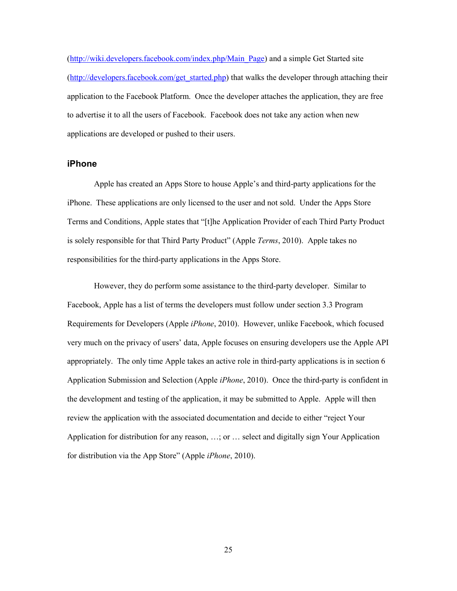[\(http://wiki.developers.facebook.com/index.php/Main\\_Page\)](http://wiki.developers.facebook.com/index.php/Main_Page) and a simple Get Started site [\(http://developers.facebook.com/get\\_started.php\)](http://developers.facebook.com/get_started.php) that walks the developer through attaching their application to the Facebook Platform. Once the developer attaches the application, they are free to advertise it to all the users of Facebook. Facebook does not take any action when new applications are developed or pushed to their users.

#### <span id="page-31-0"></span>**iPhone**

Apple has created an Apps Store to house Apple's and third-party applications for the iPhone. These applications are only licensed to the user and not sold. Under the Apps Store Terms and Conditions, Apple states that "[t]he Application Provider of each Third Party Product is solely responsible for that Third Party Product" (Apple *Terms*, 2010). Apple takes no responsibilities for the third-party applications in the Apps Store.

However, they do perform some assistance to the third-party developer. Similar to Facebook, Apple has a list of terms the developers must follow under section 3.3 Program Requirements for Developers (Apple *iPhone*, 2010). However, unlike Facebook, which focused very much on the privacy of users' data, Apple focuses on ensuring developers use the Apple API appropriately. The only time Apple takes an active role in third-party applications is in section 6 Application Submission and Selection (Apple *iPhone*, 2010). Once the third-party is confident in the development and testing of the application, it may be submitted to Apple. Apple will then review the application with the associated documentation and decide to either "reject Your Application for distribution for any reason, …; or … select and digitally sign Your Application for distribution via the App Store" (Apple *iPhone*, 2010).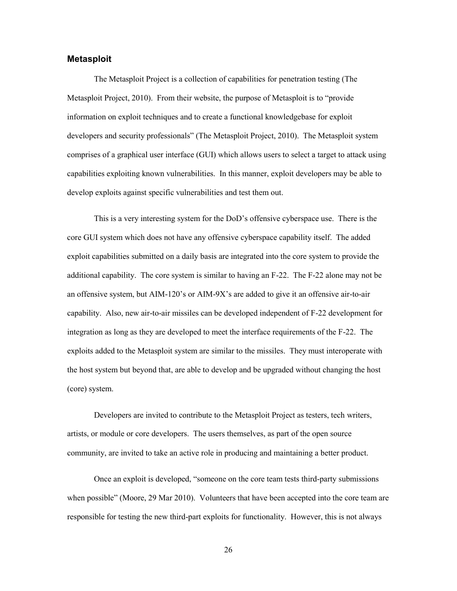#### <span id="page-32-0"></span>**Metasploit**

The Metasploit Project is a collection of capabilities for penetration testing (The Metasploit Project, 2010). From their website, the purpose of Metasploit is to "provide information on exploit techniques and to create a functional knowledgebase for exploit developers and security professionals" (The Metasploit Project, 2010). The Metasploit system comprises of a graphical user interface (GUI) which allows users to select a target to attack using capabilities exploiting known vulnerabilities. In this manner, exploit developers may be able to develop exploits against specific vulnerabilities and test them out.

This is a very interesting system for the DoD's offensive cyberspace use. There is the core GUI system which does not have any offensive cyberspace capability itself. The added exploit capabilities submitted on a daily basis are integrated into the core system to provide the additional capability. The core system is similar to having an F-22. The F-22 alone may not be an offensive system, but AIM-120's or AIM-9X's are added to give it an offensive air-to-air capability. Also, new air-to-air missiles can be developed independent of F-22 development for integration as long as they are developed to meet the interface requirements of the F-22. The exploits added to the Metasploit system are similar to the missiles. They must interoperate with the host system but beyond that, are able to develop and be upgraded without changing the host (core) system.

 Developers are invited to contribute to the Metasploit Project as testers, tech writers, artists, or module or core developers. The users themselves, as part of the open source community, are invited to take an active role in producing and maintaining a better product.

 Once an exploit is developed, "someone on the core team tests third-party submissions when possible" (Moore, 29 Mar 2010). Volunteers that have been accepted into the core team are responsible for testing the new third-part exploits for functionality. However, this is not always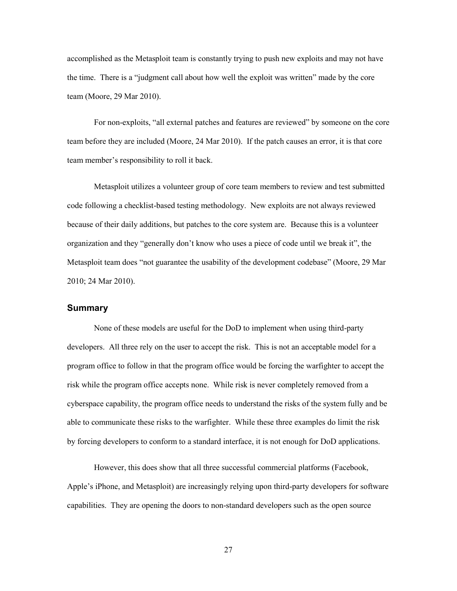accomplished as the Metasploit team is constantly trying to push new exploits and may not have the time. There is a "judgment call about how well the exploit was written" made by the core team (Moore, 29 Mar 2010).

 For non-exploits, "all external patches and features are reviewed" by someone on the core team before they are included (Moore, 24 Mar 2010). If the patch causes an error, it is that core team member's responsibility to roll it back.

 Metasploit utilizes a volunteer group of core team members to review and test submitted code following a checklist-based testing methodology. New exploits are not always reviewed because of their daily additions, but patches to the core system are. Because this is a volunteer organization and they "generally don't know who uses a piece of code until we break it", the Metasploit team does "not guarantee the usability of the development codebase" (Moore, 29 Mar 2010; 24 Mar 2010).

### <span id="page-33-0"></span>**Summary**

None of these models are useful for the DoD to implement when using third-party developers. All three rely on the user to accept the risk. This is not an acceptable model for a program office to follow in that the program office would be forcing the warfighter to accept the risk while the program office accepts none. While risk is never completely removed from a cyberspace capability, the program office needs to understand the risks of the system fully and be able to communicate these risks to the warfighter. While these three examples do limit the risk by forcing developers to conform to a standard interface, it is not enough for DoD applications.

However, this does show that all three successful commercial platforms (Facebook, Apple's iPhone, and Metasploit) are increasingly relying upon third-party developers for software capabilities. They are opening the doors to non-standard developers such as the open source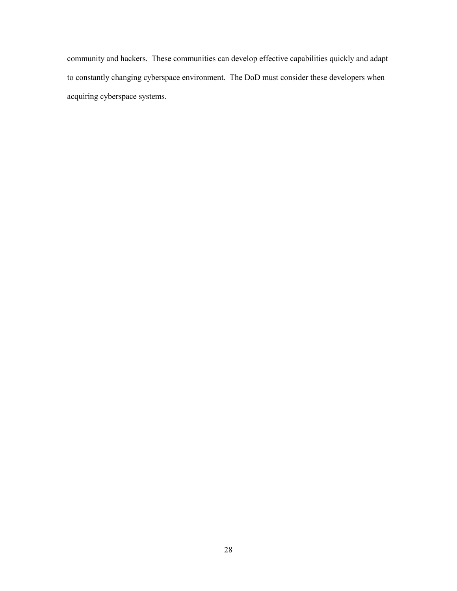community and hackers. These communities can develop effective capabilities quickly and adapt to constantly changing cyberspace environment. The DoD must consider these developers when acquiring cyberspace systems.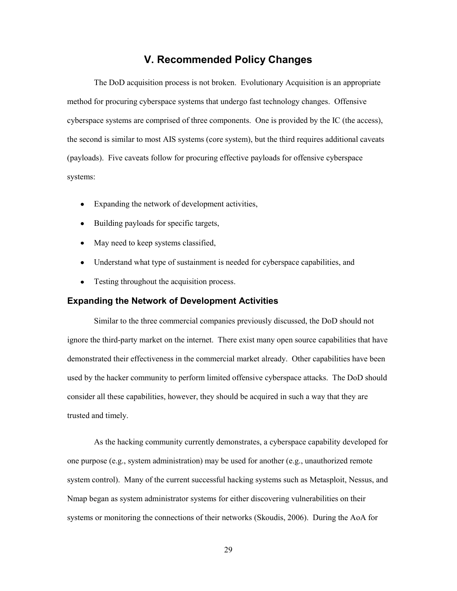# **V. Recommended Policy Changes**

<span id="page-35-0"></span>The DoD acquisition process is not broken. Evolutionary Acquisition is an appropriate method for procuring cyberspace systems that undergo fast technology changes. Offensive cyberspace systems are comprised of three components. One is provided by the IC (the access), the second is similar to most AIS systems (core system), but the third requires additional caveats (payloads). Five caveats follow for procuring effective payloads for offensive cyberspace systems:

- Expanding the network of development activities,
- Building payloads for specific targets,
- May need to keep systems classified,
- Understand what type of sustainment is needed for cyberspace capabilities, and
- Testing throughout the acquisition process.

#### <span id="page-35-1"></span>**Expanding the Network of Development Activities**

 Similar to the three commercial companies previously discussed, the DoD should not ignore the third-party market on the internet. There exist many open source capabilities that have demonstrated their effectiveness in the commercial market already. Other capabilities have been used by the hacker community to perform limited offensive cyberspace attacks. The DoD should consider all these capabilities, however, they should be acquired in such a way that they are trusted and timely.

As the hacking community currently demonstrates, a cyberspace capability developed for one purpose (e.g., system administration) may be used for another (e.g., unauthorized remote system control). Many of the current successful hacking systems such as Metasploit, Nessus, and Nmap began as system administrator systems for either discovering vulnerabilities on their systems or monitoring the connections of their networks (Skoudis, 2006). During the AoA for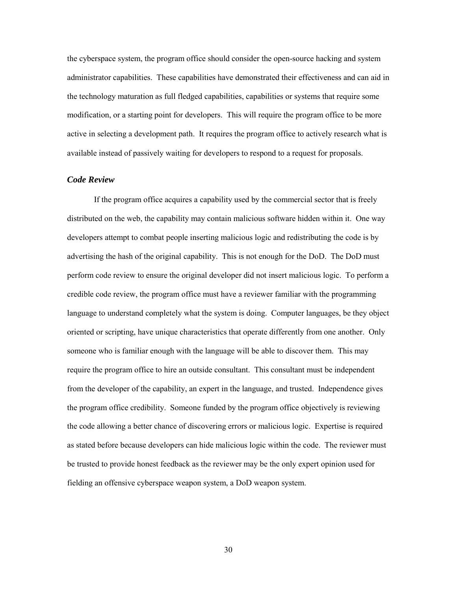the cyberspace system, the program office should consider the open-source hacking and system administrator capabilities. These capabilities have demonstrated their effectiveness and can aid in the technology maturation as full fledged capabilities, capabilities or systems that require some modification, or a starting point for developers. This will require the program office to be more active in selecting a development path. It requires the program office to actively research what is available instead of passively waiting for developers to respond to a request for proposals.

#### <span id="page-36-0"></span>*Code Review*

If the program office acquires a capability used by the commercial sector that is freely distributed on the web, the capability may contain malicious software hidden within it. One way developers attempt to combat people inserting malicious logic and redistributing the code is by advertising the hash of the original capability. This is not enough for the DoD. The DoD must perform code review to ensure the original developer did not insert malicious logic. To perform a credible code review, the program office must have a reviewer familiar with the programming language to understand completely what the system is doing. Computer languages, be they object oriented or scripting, have unique characteristics that operate differently from one another. Only someone who is familiar enough with the language will be able to discover them. This may require the program office to hire an outside consultant. This consultant must be independent from the developer of the capability, an expert in the language, and trusted. Independence gives the program office credibility. Someone funded by the program office objectively is reviewing the code allowing a better chance of discovering errors or malicious logic. Expertise is required as stated before because developers can hide malicious logic within the code. The reviewer must be trusted to provide honest feedback as the reviewer may be the only expert opinion used for fielding an offensive cyberspace weapon system, a DoD weapon system.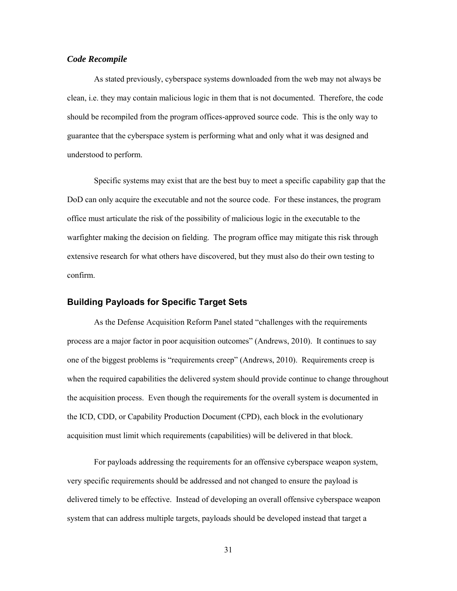#### <span id="page-37-0"></span>*Code Recompile*

 As stated previously, cyberspace systems downloaded from the web may not always be clean, i.e. they may contain malicious logic in them that is not documented. Therefore, the code should be recompiled from the program offices-approved source code. This is the only way to guarantee that the cyberspace system is performing what and only what it was designed and understood to perform.

 Specific systems may exist that are the best buy to meet a specific capability gap that the DoD can only acquire the executable and not the source code. For these instances, the program office must articulate the risk of the possibility of malicious logic in the executable to the warfighter making the decision on fielding. The program office may mitigate this risk through extensive research for what others have discovered, but they must also do their own testing to confirm.

#### <span id="page-37-1"></span>**Building Payloads for Specific Target Sets**

As the Defense Acquisition Reform Panel stated "challenges with the requirements process are a major factor in poor acquisition outcomes" (Andrews, 2010). It continues to say one of the biggest problems is "requirements creep" (Andrews, 2010). Requirements creep is when the required capabilities the delivered system should provide continue to change throughout the acquisition process. Even though the requirements for the overall system is documented in the ICD, CDD, or Capability Production Document (CPD), each block in the evolutionary acquisition must limit which requirements (capabilities) will be delivered in that block.

For payloads addressing the requirements for an offensive cyberspace weapon system, very specific requirements should be addressed and not changed to ensure the payload is delivered timely to be effective. Instead of developing an overall offensive cyberspace weapon system that can address multiple targets, payloads should be developed instead that target a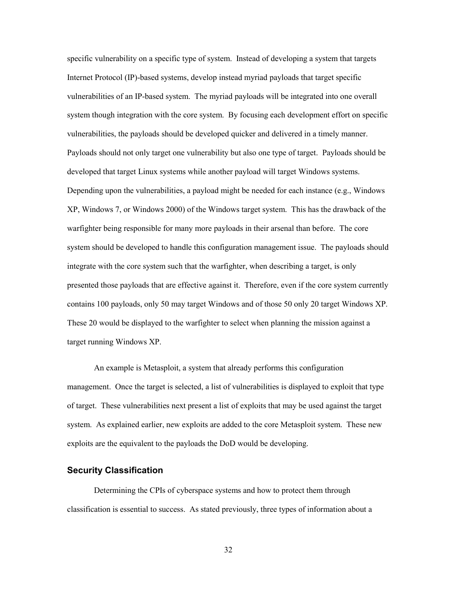specific vulnerability on a specific type of system. Instead of developing a system that targets Internet Protocol (IP)-based systems, develop instead myriad payloads that target specific vulnerabilities of an IP-based system. The myriad payloads will be integrated into one overall system though integration with the core system. By focusing each development effort on specific vulnerabilities, the payloads should be developed quicker and delivered in a timely manner. Payloads should not only target one vulnerability but also one type of target. Payloads should be developed that target Linux systems while another payload will target Windows systems. Depending upon the vulnerabilities, a payload might be needed for each instance (e.g., Windows XP, Windows 7, or Windows 2000) of the Windows target system. This has the drawback of the warfighter being responsible for many more payloads in their arsenal than before. The core system should be developed to handle this configuration management issue. The payloads should integrate with the core system such that the warfighter, when describing a target, is only presented those payloads that are effective against it. Therefore, even if the core system currently contains 100 payloads, only 50 may target Windows and of those 50 only 20 target Windows XP. These 20 would be displayed to the warfighter to select when planning the mission against a target running Windows XP.

 An example is Metasploit, a system that already performs this configuration management. Once the target is selected, a list of vulnerabilities is displayed to exploit that type of target. These vulnerabilities next present a list of exploits that may be used against the target system. As explained earlier, new exploits are added to the core Metasploit system. These new exploits are the equivalent to the payloads the DoD would be developing.

#### <span id="page-38-0"></span>**Security Classification**

 Determining the CPIs of cyberspace systems and how to protect them through classification is essential to success. As stated previously, three types of information about a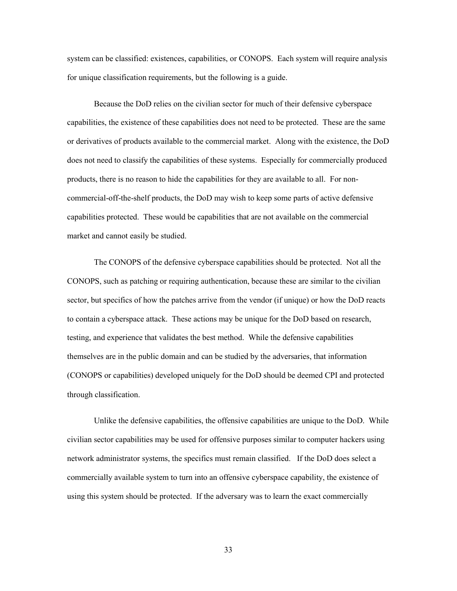system can be classified: existences, capabilities, or CONOPS. Each system will require analysis for unique classification requirements, but the following is a guide.

 Because the DoD relies on the civilian sector for much of their defensive cyberspace capabilities, the existence of these capabilities does not need to be protected. These are the same or derivatives of products available to the commercial market. Along with the existence, the DoD does not need to classify the capabilities of these systems. Especially for commercially produced products, there is no reason to hide the capabilities for they are available to all. For noncommercial-off-the-shelf products, the DoD may wish to keep some parts of active defensive capabilities protected. These would be capabilities that are not available on the commercial market and cannot easily be studied.

 The CONOPS of the defensive cyberspace capabilities should be protected. Not all the CONOPS, such as patching or requiring authentication, because these are similar to the civilian sector, but specifics of how the patches arrive from the vendor (if unique) or how the DoD reacts to contain a cyberspace attack. These actions may be unique for the DoD based on research, testing, and experience that validates the best method. While the defensive capabilities themselves are in the public domain and can be studied by the adversaries, that information (CONOPS or capabilities) developed uniquely for the DoD should be deemed CPI and protected through classification.

Unlike the defensive capabilities, the offensive capabilities are unique to the DoD. While civilian sector capabilities may be used for offensive purposes similar to computer hackers using network administrator systems, the specifics must remain classified. If the DoD does select a commercially available system to turn into an offensive cyberspace capability, the existence of using this system should be protected. If the adversary was to learn the exact commercially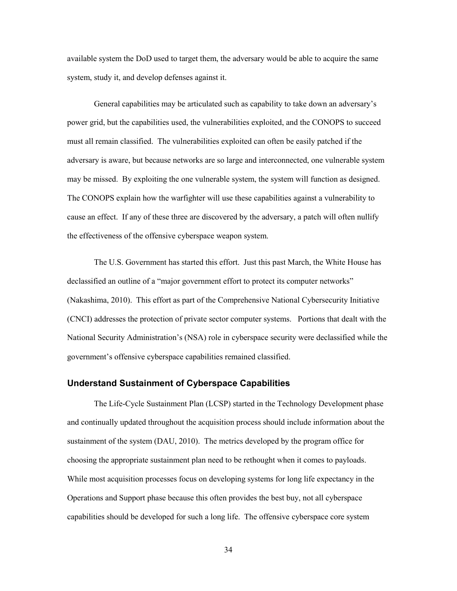available system the DoD used to target them, the adversary would be able to acquire the same system, study it, and develop defenses against it.

General capabilities may be articulated such as capability to take down an adversary's power grid, but the capabilities used, the vulnerabilities exploited, and the CONOPS to succeed must all remain classified. The vulnerabilities exploited can often be easily patched if the adversary is aware, but because networks are so large and interconnected, one vulnerable system may be missed. By exploiting the one vulnerable system, the system will function as designed. The CONOPS explain how the warfighter will use these capabilities against a vulnerability to cause an effect. If any of these three are discovered by the adversary, a patch will often nullify the effectiveness of the offensive cyberspace weapon system.

The U.S. Government has started this effort. Just this past March, the White House has declassified an outline of a "major government effort to protect its computer networks" (Nakashima, 2010). This effort as part of the Comprehensive National Cybersecurity Initiative (CNCI) addresses the protection of private sector computer systems. Portions that dealt with the National Security Administration's (NSA) role in cyberspace security were declassified while the government's offensive cyberspace capabilities remained classified.

### <span id="page-40-0"></span>**Understand Sustainment of Cyberspace Capabilities**

The Life-Cycle Sustainment Plan (LCSP) started in the Technology Development phase and continually updated throughout the acquisition process should include information about the sustainment of the system (DAU, 2010). The metrics developed by the program office for choosing the appropriate sustainment plan need to be rethought when it comes to payloads. While most acquisition processes focus on developing systems for long life expectancy in the Operations and Support phase because this often provides the best buy, not all cyberspace capabilities should be developed for such a long life. The offensive cyberspace core system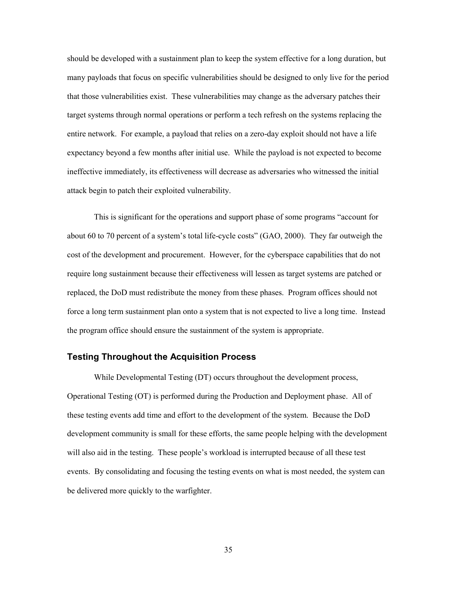should be developed with a sustainment plan to keep the system effective for a long duration, but many payloads that focus on specific vulnerabilities should be designed to only live for the period that those vulnerabilities exist. These vulnerabilities may change as the adversary patches their target systems through normal operations or perform a tech refresh on the systems replacing the entire network. For example, a payload that relies on a zero-day exploit should not have a life expectancy beyond a few months after initial use. While the payload is not expected to become ineffective immediately, its effectiveness will decrease as adversaries who witnessed the initial attack begin to patch their exploited vulnerability.

This is significant for the operations and support phase of some programs "account for about 60 to 70 percent of a system's total life-cycle costs" (GAO, 2000). They far outweigh the cost of the development and procurement. However, for the cyberspace capabilities that do not require long sustainment because their effectiveness will lessen as target systems are patched or replaced, the DoD must redistribute the money from these phases. Program offices should not force a long term sustainment plan onto a system that is not expected to live a long time. Instead the program office should ensure the sustainment of the system is appropriate.

### <span id="page-41-0"></span>**Testing Throughout the Acquisition Process**

While Developmental Testing (DT) occurs throughout the development process, Operational Testing (OT) is performed during the Production and Deployment phase. All of these testing events add time and effort to the development of the system. Because the DoD development community is small for these efforts, the same people helping with the development will also aid in the testing. These people's workload is interrupted because of all these test events. By consolidating and focusing the testing events on what is most needed, the system can be delivered more quickly to the warfighter.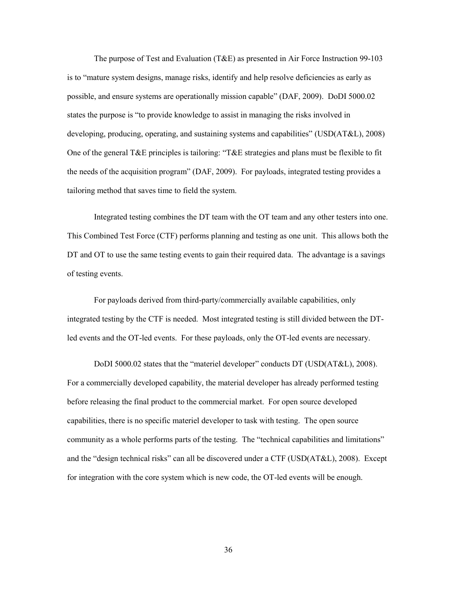The purpose of Test and Evaluation (T&E) as presented in Air Force Instruction 99-103 is to "mature system designs, manage risks, identify and help resolve deficiencies as early as possible, and ensure systems are operationally mission capable" (DAF, 2009). DoDI 5000.02 states the purpose is "to provide knowledge to assist in managing the risks involved in developing, producing, operating, and sustaining systems and capabilities" (USD(AT&L), 2008) One of the general T&E principles is tailoring: "T&E strategies and plans must be flexible to fit the needs of the acquisition program" (DAF, 2009). For payloads, integrated testing provides a tailoring method that saves time to field the system.

Integrated testing combines the DT team with the OT team and any other testers into one. This Combined Test Force (CTF) performs planning and testing as one unit. This allows both the DT and OT to use the same testing events to gain their required data. The advantage is a savings of testing events.

 For payloads derived from third-party/commercially available capabilities, only integrated testing by the CTF is needed. Most integrated testing is still divided between the DTled events and the OT-led events. For these payloads, only the OT-led events are necessary.

DoDI 5000.02 states that the "materiel developer" conducts DT (USD(AT&L), 2008). For a commercially developed capability, the material developer has already performed testing before releasing the final product to the commercial market. For open source developed capabilities, there is no specific materiel developer to task with testing. The open source community as a whole performs parts of the testing. The "technical capabilities and limitations" and the "design technical risks" can all be discovered under a CTF (USD(AT&L), 2008). Except for integration with the core system which is new code, the OT-led events will be enough.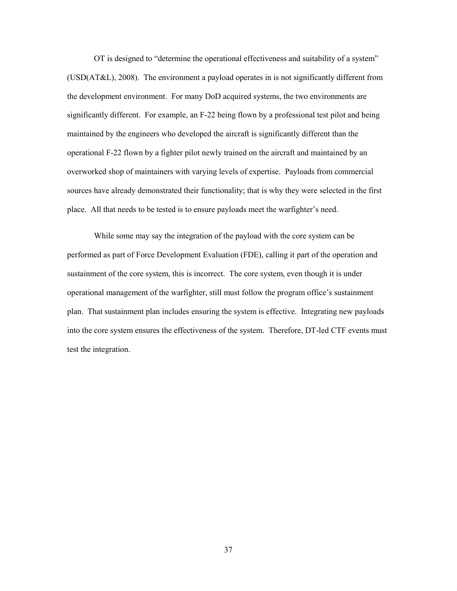OT is designed to "determine the operational effectiveness and suitability of a system" (USD(AT&L), 2008). The environment a payload operates in is not significantly different from the development environment. For many DoD acquired systems, the two environments are significantly different. For example, an F-22 being flown by a professional test pilot and being maintained by the engineers who developed the aircraft is significantly different than the operational F-22 flown by a fighter pilot newly trained on the aircraft and maintained by an overworked shop of maintainers with varying levels of expertise. Payloads from commercial sources have already demonstrated their functionality; that is why they were selected in the first place. All that needs to be tested is to ensure payloads meet the warfighter's need.

 While some may say the integration of the payload with the core system can be performed as part of Force Development Evaluation (FDE), calling it part of the operation and sustainment of the core system, this is incorrect. The core system, even though it is under operational management of the warfighter, still must follow the program office's sustainment plan. That sustainment plan includes ensuring the system is effective. Integrating new payloads into the core system ensures the effectiveness of the system. Therefore, DT-led CTF events must test the integration.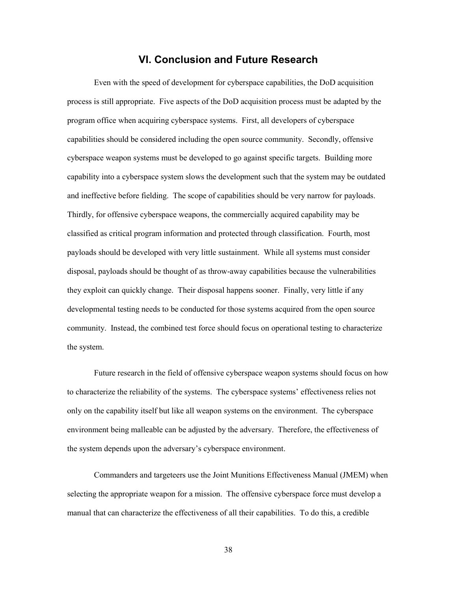# **VI. Conclusion and Future Research**

<span id="page-44-0"></span>Even with the speed of development for cyberspace capabilities, the DoD acquisition process is still appropriate. Five aspects of the DoD acquisition process must be adapted by the program office when acquiring cyberspace systems. First, all developers of cyberspace capabilities should be considered including the open source community. Secondly, offensive cyberspace weapon systems must be developed to go against specific targets. Building more capability into a cyberspace system slows the development such that the system may be outdated and ineffective before fielding. The scope of capabilities should be very narrow for payloads. Thirdly, for offensive cyberspace weapons, the commercially acquired capability may be classified as critical program information and protected through classification. Fourth, most payloads should be developed with very little sustainment. While all systems must consider disposal, payloads should be thought of as throw-away capabilities because the vulnerabilities they exploit can quickly change. Their disposal happens sooner. Finally, very little if any developmental testing needs to be conducted for those systems acquired from the open source community. Instead, the combined test force should focus on operational testing to characterize the system.

Future research in the field of offensive cyberspace weapon systems should focus on how to characterize the reliability of the systems. The cyberspace systems' effectiveness relies not only on the capability itself but like all weapon systems on the environment. The cyberspace environment being malleable can be adjusted by the adversary. Therefore, the effectiveness of the system depends upon the adversary's cyberspace environment.

Commanders and targeteers use the Joint Munitions Effectiveness Manual (JMEM) when selecting the appropriate weapon for a mission. The offensive cyberspace force must develop a manual that can characterize the effectiveness of all their capabilities. To do this, a credible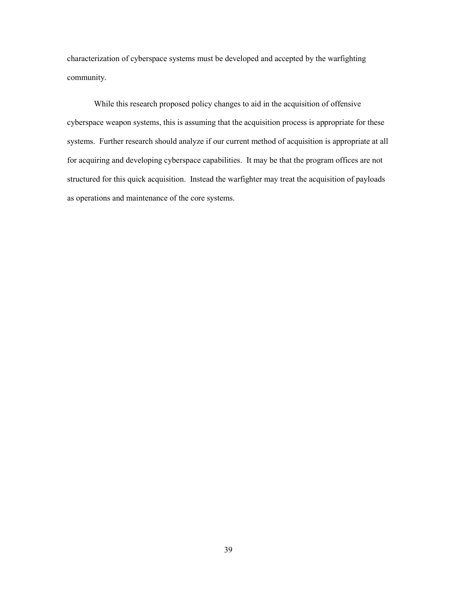characterization of cyberspace systems must be developed and accepted by the warfighting community.

While this research proposed policy changes to aid in the acquisition of offensive cyberspace weapon systems, this is assuming that the acquisition process is appropriate for these systems. Further research should analyze if our current method of acquisition is appropriate at all for acquiring and developing cyberspace capabilities. It may be that the program offices are not structured for this quick acquisition. Instead the warfighter may treat the acquisition of payloads as operations and maintenance of the core systems.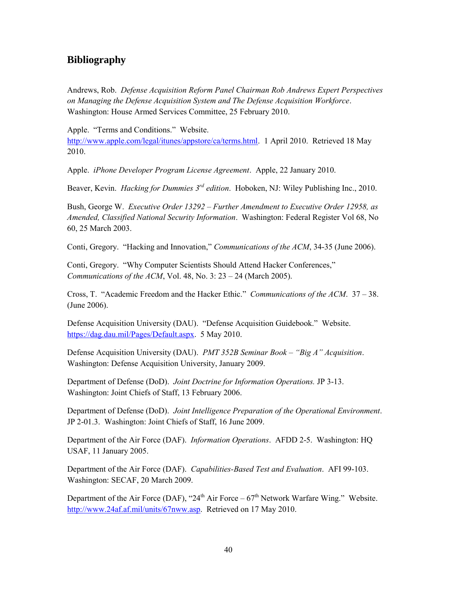# <span id="page-46-0"></span>**Bibliography**

Andrews, Rob. *Defense Acquisition Reform Panel Chairman Rob Andrews Expert Perspectives on Managing the Defense Acquisition System and The Defense Acquisition Workforce*. Washington: House Armed Services Committee, 25 February 2010.

Apple. "Terms and Conditions." Website.

[http://www.apple.com/legal/itunes/appstore/ca/terms.html.](http://www.apple.com/legal/itunes/appstore/ca/terms.html) 1 April 2010. Retrieved 18 May 2010.

Apple. *iPhone Developer Program License Agreement*. Apple, 22 January 2010.

Beaver, Kevin. *Hacking for Dummies 3rd edition*. Hoboken, NJ: Wiley Publishing Inc., 2010.

Bush, George W. *Executive Order 13292 – Further Amendment to Executive Order 12958, as Amended, Classified National Security Information*. Washington: Federal Register Vol 68, No 60, 25 March 2003.

Conti, Gregory. "Hacking and Innovation," *Communications of the ACM*, 34-35 (June 2006).

Conti, Gregory. "Why Computer Scientists Should Attend Hacker Conferences," *Communications of the ACM*, Vol. 48, No. 3: 23 – 24 (March 2005).

Cross, T. "Academic Freedom and the Hacker Ethic." *Communications of the ACM*. 37 – 38. (June 2006).

Defense Acquisition University (DAU). "Defense Acquisition Guidebook." Website. [https://dag.dau.mil/Pages/Default.aspx.](https://dag.dau.mil/Pages/Default.aspx) 5 May 2010.

Defense Acquisition University (DAU). *PMT 352B Seminar Book – "Big A" Acquisition*. Washington: Defense Acquisition University, January 2009.

Department of Defense (DoD). *Joint Doctrine for Information Operations.* JP 3-13. Washington: Joint Chiefs of Staff, 13 February 2006.

Department of Defense (DoD). *Joint Intelligence Preparation of the Operational Environment*. JP 2-01.3. Washington: Joint Chiefs of Staff, 16 June 2009.

Department of the Air Force (DAF). *Information Operations*. AFDD 2-5. Washington: HQ USAF, 11 January 2005.

Department of the Air Force (DAF). *Capabilities-Based Test and Evaluation*. AFI 99-103. Washington: SECAF, 20 March 2009.

Department of the Air Force (DAF), "24<sup>th</sup> Air Force –  $67<sup>th</sup>$  Network Warfare Wing." Website. [http://www.24af.af.mil/units/67nww.asp.](http://www.24af.af.mil/units/67nww.asp) Retrieved on 17 May 2010.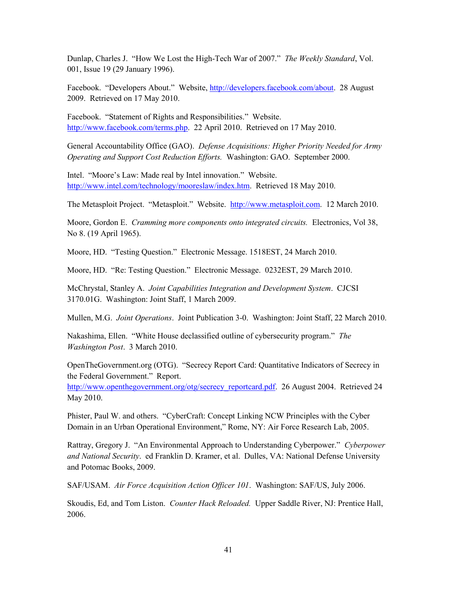Dunlap, Charles J. "How We Lost the High-Tech War of 2007." *The Weekly Standard*, Vol. 001, Issue 19 (29 January 1996).

Facebook. "Developers About." Website, [http://developers.facebook.com/about.](http://developers.facebook.com/about) 28 August 2009. Retrieved on 17 May 2010.

Facebook. "Statement of Rights and Responsibilities." Website. [http://www.facebook.com/terms.php.](http://www.facebook.com/terms.php) 22 April 2010. Retrieved on 17 May 2010.

General Accountability Office (GAO). *Defense Acquisitions: Higher Priority Needed for Army Operating and Support Cost Reduction Efforts.* Washington: GAO. September 2000.

Intel. "Moore's Law: Made real by Intel innovation." Website. [http://www.intel.com/technology/mooreslaw/index.htm.](http://www.intel.com/technology/mooreslaw/index.htm) Retrieved 18 May 2010.

The Metasploit Project. "Metasploit." Website. [http://www.metasploit.com.](http://www.metasploit.com/) 12 March 2010.

Moore, Gordon E. *Cramming more components onto integrated circuits.* Electronics, Vol 38, No 8. (19 April 1965).

Moore, HD. "Testing Question." Electronic Message. 1518EST, 24 March 2010.

Moore, HD. "Re: Testing Question." Electronic Message. 0232EST, 29 March 2010.

McChrystal, Stanley A. *Joint Capabilities Integration and Development System*. CJCSI 3170.01G. Washington: Joint Staff, 1 March 2009.

Mullen, M.G. *Joint Operations*. Joint Publication 3-0. Washington: Joint Staff, 22 March 2010.

Nakashima, Ellen. "White House declassified outline of cybersecurity program." *The Washington Post*. 3 March 2010.

OpenTheGovernment.org (OTG). "Secrecy Report Card: Quantitative Indicators of Secrecy in the Federal Government." Report.

[http://www.openthegovernment.org/otg/secrecy\\_reportcard.pdf.](http://www.openthegovernment.org/otg/secrecy_reportcard.pdf) 26 August 2004. Retrieved 24 May 2010.

Phister, Paul W. and others. "CyberCraft: Concept Linking NCW Principles with the Cyber Domain in an Urban Operational Environment," Rome, NY: Air Force Research Lab, 2005.

Rattray, Gregory J. "An Environmental Approach to Understanding Cyberpower." *Cyberpower and National Security*. ed Franklin D. Kramer, et al. Dulles, VA: National Defense University and Potomac Books, 2009.

SAF/USAM. *Air Force Acquisition Action Officer 101*. Washington: SAF/US, July 2006.

Skoudis, Ed, and Tom Liston. *Counter Hack Reloaded.* Upper Saddle River, NJ: Prentice Hall, 2006.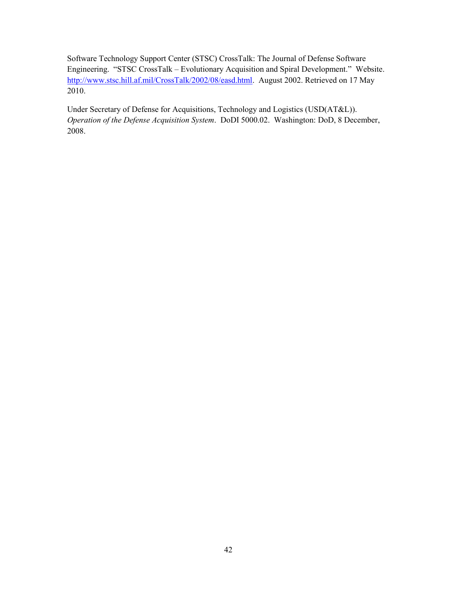Software Technology Support Center (STSC) CrossTalk: The Journal of Defense Software Engineering. "STSC CrossTalk – Evolutionary Acquisition and Spiral Development." Website. [http://www.stsc.hill.af.mil/CrossTalk/2002/08/easd.html.](http://www.stsc.hill.af.mil/CrossTalk/2002/08/easd.html) August 2002. Retrieved on 17 May 2010.

Under Secretary of Defense for Acquisitions, Technology and Logistics (USD(AT&L)). *Operation of the Defense Acquisition System*. DoDI 5000.02. Washington: DoD, 8 December, 2008.